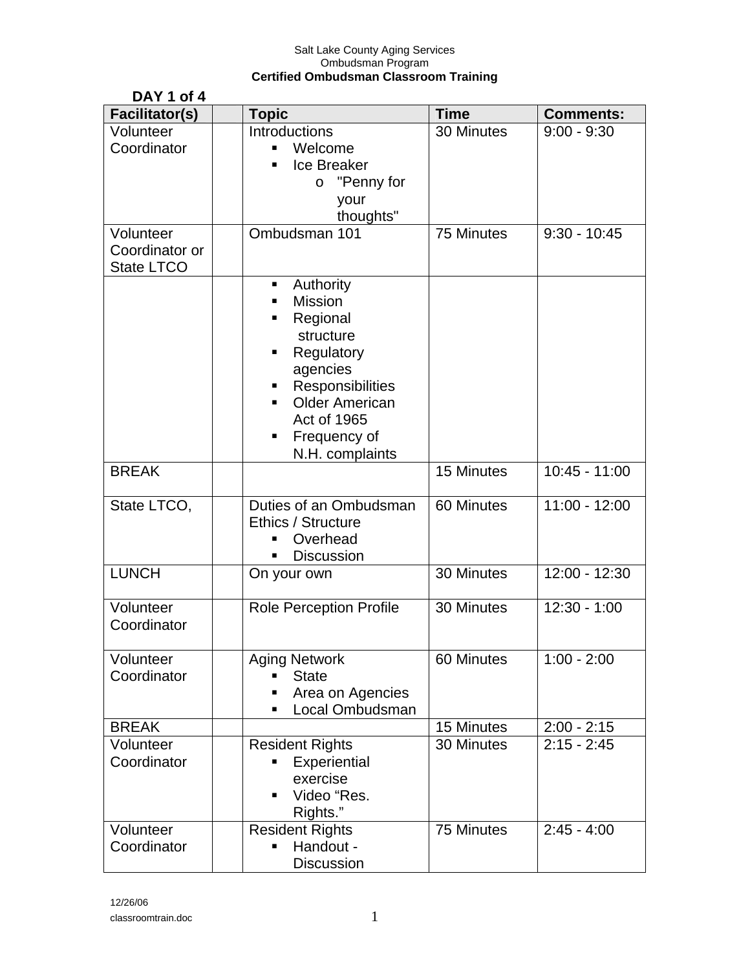| DAY 1 of 4                                       |                                                                                                                                                                                       |             |                  |
|--------------------------------------------------|---------------------------------------------------------------------------------------------------------------------------------------------------------------------------------------|-------------|------------------|
| <b>Facilitator(s)</b>                            | <b>Topic</b>                                                                                                                                                                          | <b>Time</b> | <b>Comments:</b> |
| Volunteer<br>Coordinator                         | Introductions<br>Welcome<br>Ice Breaker<br>"Penny for<br>$\circ$<br>your<br>thoughts"                                                                                                 | 30 Minutes  | $9:00 - 9:30$    |
| Volunteer<br>Coordinator or<br><b>State LTCO</b> | Ombudsman 101                                                                                                                                                                         | 75 Minutes  | $9:30 - 10:45$   |
|                                                  | Authority<br>٠<br>Mission<br>Regional<br>structure<br>Regulatory<br>٠<br>agencies<br>Responsibilities<br>ш<br><b>Older American</b><br>Act of 1965<br>Frequency of<br>N.H. complaints |             |                  |
| <b>BREAK</b>                                     |                                                                                                                                                                                       | 15 Minutes  | $10:45 - 11:00$  |
| State LTCO,                                      | Duties of an Ombudsman<br>Ethics / Structure<br>Overhead<br><b>Discussion</b>                                                                                                         | 60 Minutes  | $11:00 - 12:00$  |
| <b>LUNCH</b>                                     | On your own                                                                                                                                                                           | 30 Minutes  | $12:00 - 12:30$  |
| Volunteer<br>Coordinator                         | <b>Role Perception Profile</b>                                                                                                                                                        | 30 Minutes  | $12:30 - 1:00$   |
| Volunteer<br>Coordinator                         | <b>Aging Network</b><br><b>State</b><br>Area on Agencies<br>Local Ombudsman                                                                                                           | 60 Minutes  | $1:00 - 2:00$    |
| <b>BREAK</b>                                     |                                                                                                                                                                                       | 15 Minutes  | $2:00 - 2:15$    |
| Volunteer<br>Coordinator                         | <b>Resident Rights</b><br>Experiential<br>exercise<br>Video "Res.<br>Rights."                                                                                                         | 30 Minutes  | $2:15 - 2:45$    |
| Volunteer<br>Coordinator                         | <b>Resident Rights</b><br>Handout -<br><b>Discussion</b>                                                                                                                              | 75 Minutes  | $2:45 - 4:00$    |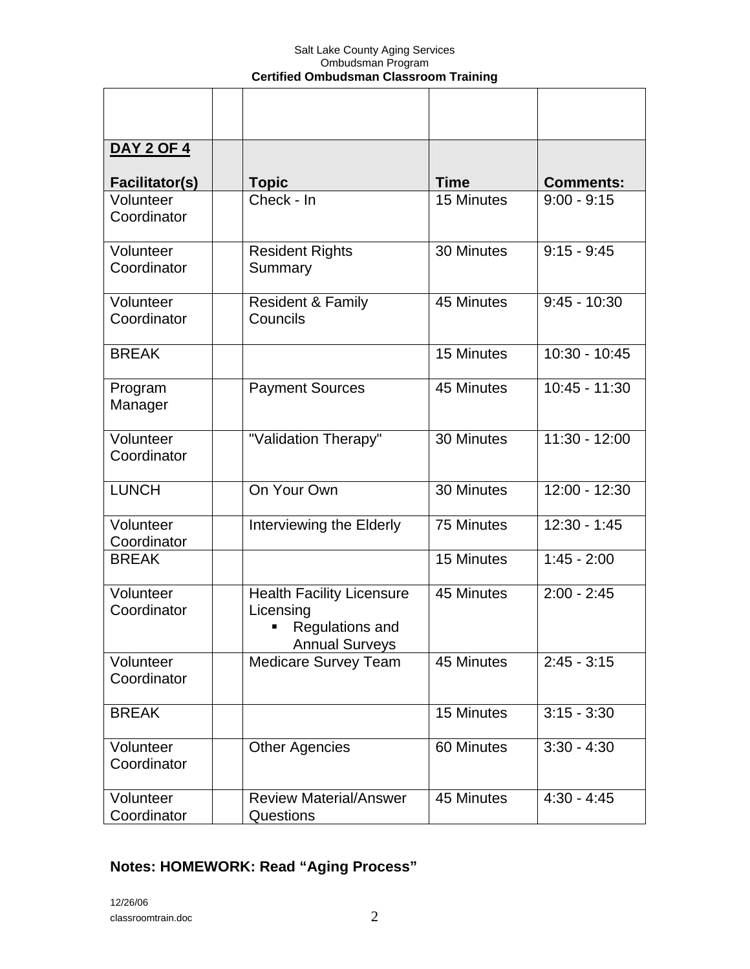| <b>DAY 2 OF 4</b>        |                                                                                           |             |                  |
|--------------------------|-------------------------------------------------------------------------------------------|-------------|------------------|
| <b>Facilitator(s)</b>    | <b>Topic</b>                                                                              | <b>Time</b> | <b>Comments:</b> |
| Volunteer<br>Coordinator | Check - In                                                                                | 15 Minutes  | $9:00 - 9:15$    |
| Volunteer<br>Coordinator | <b>Resident Rights</b><br>Summary                                                         | 30 Minutes  | $9:15 - 9:45$    |
| Volunteer<br>Coordinator | <b>Resident &amp; Family</b><br>Councils                                                  | 45 Minutes  | $9:45 - 10:30$   |
| <b>BREAK</b>             |                                                                                           | 15 Minutes  | $10:30 - 10:45$  |
| Program<br>Manager       | <b>Payment Sources</b>                                                                    | 45 Minutes  | $10:45 - 11:30$  |
| Volunteer<br>Coordinator | "Validation Therapy"                                                                      | 30 Minutes  | $11:30 - 12:00$  |
| <b>LUNCH</b>             | On Your Own                                                                               | 30 Minutes  | $12:00 - 12:30$  |
| Volunteer<br>Coordinator | Interviewing the Elderly                                                                  | 75 Minutes  | $12:30 - 1:45$   |
| <b>BREAK</b>             |                                                                                           | 15 Minutes  | $1:45 - 2:00$    |
| Volunteer<br>Coordinator | <b>Health Facility Licensure</b><br>Licensing<br>Regulations and<br><b>Annual Surveys</b> | 45 Minutes  | $2:00 - 2:45$    |
| Volunteer<br>Coordinator | <b>Medicare Survey Team</b>                                                               | 45 Minutes  | $2:45 - 3:15$    |
| <b>BREAK</b>             |                                                                                           | 15 Minutes  | $3:15 - 3:30$    |
| Volunteer<br>Coordinator | <b>Other Agencies</b>                                                                     | 60 Minutes  | $3:30 - 4:30$    |
| Volunteer<br>Coordinator | <b>Review Material/Answer</b><br>Questions                                                | 45 Minutes  | $4:30 - 4:45$    |

# **Notes: HOMEWORK: Read "Aging Process"**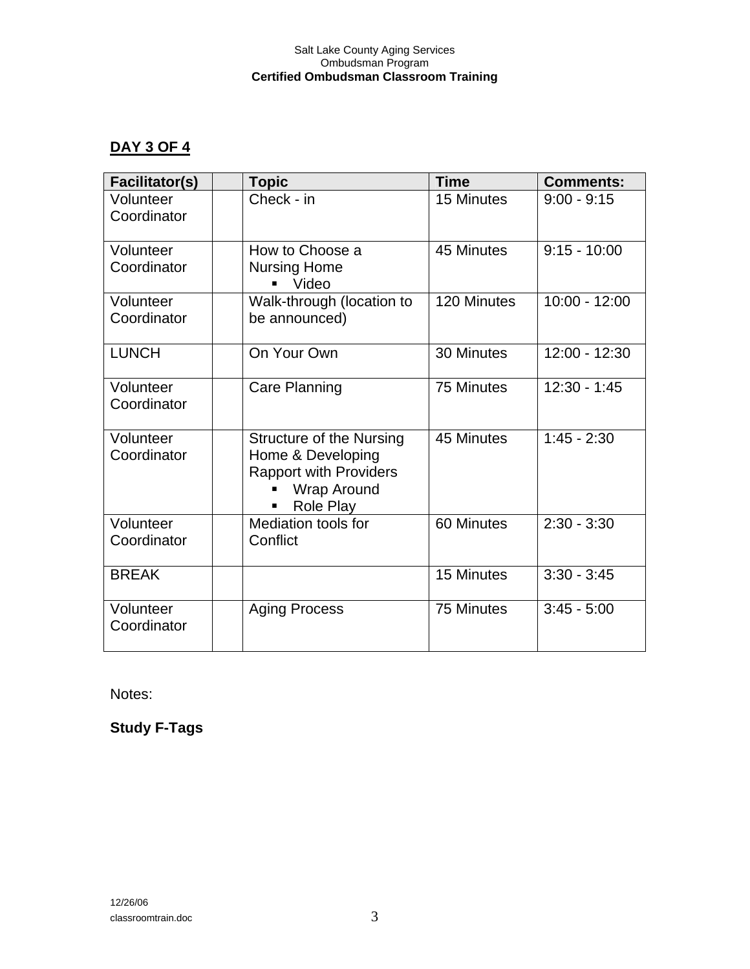### **DAY 3 OF 4**

| <b>Facilitator(s)</b>    | <b>Topic</b>                                                                                                             | <b>Time</b> | <b>Comments:</b> |
|--------------------------|--------------------------------------------------------------------------------------------------------------------------|-------------|------------------|
| Volunteer<br>Coordinator | Check - in                                                                                                               | 15 Minutes  | $9:00 - 9:15$    |
| Volunteer<br>Coordinator | How to Choose a<br><b>Nursing Home</b><br>Video                                                                          | 45 Minutes  | $9:15 - 10:00$   |
| Volunteer<br>Coordinator | Walk-through (location to<br>be announced)                                                                               | 120 Minutes | $10:00 - 12:00$  |
| <b>LUNCH</b>             | On Your Own                                                                                                              | 30 Minutes  | $12:00 - 12:30$  |
| Volunteer<br>Coordinator | Care Planning                                                                                                            | 75 Minutes  | $12:30 - 1:45$   |
| Volunteer<br>Coordinator | <b>Structure of the Nursing</b><br>Home & Developing<br><b>Rapport with Providers</b><br><b>Wrap Around</b><br>Role Play | 45 Minutes  | $1:45 - 2:30$    |
| Volunteer<br>Coordinator | Mediation tools for<br>Conflict                                                                                          | 60 Minutes  | $2:30 - 3:30$    |
| <b>BREAK</b>             |                                                                                                                          | 15 Minutes  | $3:30 - 3:45$    |
| Volunteer<br>Coordinator | <b>Aging Process</b>                                                                                                     | 75 Minutes  | $3:45 - 5:00$    |

Notes:

**Study F-Tags**